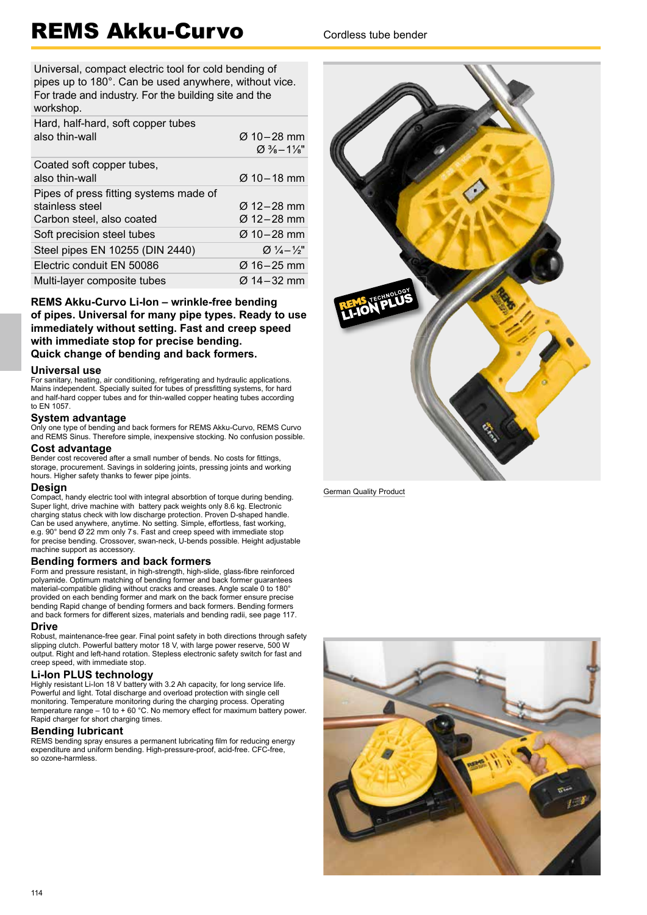# REMS Akku-Curvo Cordless tube bender

Universal, compact electric tool for cold bending of pipes up to 180°. Can be used anywhere, without vice. For trade and industry. For the building site and the workshop.

| Hard, half-hard, soft copper tubes     |                            |
|----------------------------------------|----------------------------|
| also thin-wall                         | $Q$ 10 – 28 mm             |
|                                        | $\varnothing$ % – 1%"      |
| Coated soft copper tubes,              |                            |
| also thin-wall                         | $Ø$ 10 – 18 mm             |
| Pipes of press fitting systems made of |                            |
| stainless steel                        | Ø 12-28 mm                 |
| Carbon steel, also coated              | Ø 12–28 mm                 |
| Soft precision steel tubes             | Ø 10-28 mm                 |
| Steel pipes EN 10255 (DIN 2440)        | $Q\frac{1}{4}-\frac{1}{2}$ |
| Electric conduit EN 50086              | Ø 16–25 mm                 |
| Multi-layer composite tubes            | Ø 14–32 mm                 |

### **REMS Akku-Curvo Li-Ion – wrinkle-free bending of pipes. Universal for many pipe types. Ready to use**

**immediately without setting. Fast and creep speed with immediate stop for precise bending. Quick change of bending and back formers.**

#### **Universal use**

For sanitary, heating, air conditioning, refrigerating and hydraulic applications. Mains independent. Specially suited for tubes of pressfitting systems, for hard and half-hard copper tubes and for thin-walled copper heating tubes according to EN 1057.

**System advantage** Only one type of bending and back formers for REMS Akku-Curvo, REMS Curvo and REMS Sinus. Therefore simple, inexpensive stocking. No confusion possible.

#### **Cost advantage**

Bender cost recovered after a small number of bends. No costs for fittings, storage, procurement. Savings in soldering joints, pressing joints and working hours. Higher safety thanks to fewer pipe joints.

#### **Design**

Compact, handy electric tool with integral absorbtion of torque during bending. Super light, drive machine with battery pack weights only 8.6 kg. Electronic charging status check with low discharge protection. Proven D-shaped handle. Can be used anywhere, anytime. No setting. Simple, effortless, fast working, e.g. 90° bend Ø 22 mm only 7 s. Fast and creep speed with immediate stop for precise bending. Crossover, swan-neck, U-bends possible. Height adjustable machine support as accessory.

### **Bending formers and back formers**

Form and pressure resistant, in high-strength, high-slide, glass-fibre reinforced polyamide. Optimum matching of bending former and back former guarantees material-compatible gliding without cracks and creases. Angle scale 0 to 180° provided on each bending former and mark on the back former ensure precise bending Rapid change of bending formers and back formers. Bending formers and back formers for different sizes, materials and bending radii, see page 117.

#### **Drive**

Robust, maintenance-free gear. Final point safety in both directions through safety slipping clutch. Powerful battery motor 18 V, with large power reserve, 500 W output. Right and left-hand rotation. Stepless electronic safety switch for fast and creep speed, with immediate stop.

**Li-Ion PLUS technology** Highly resistant Li-Ion 18 V battery with 3.2 Ah capacity, for long service life. Powerful and light. Total discharge and overload protection with single cell monitoring. Temperature monitoring during the charging process. Operating temperature range – 10 to + 60 °C. No memory effect for maximum battery power. Rapid charger for short charging times.

#### **Bending lubricant**

REMS bending spray ensures a permanent lubricating film for reducing energy expenditure and uniform bending. High-pressure-proof, acid-free. CFC-free, so ozone-harmless.



German Quality Product